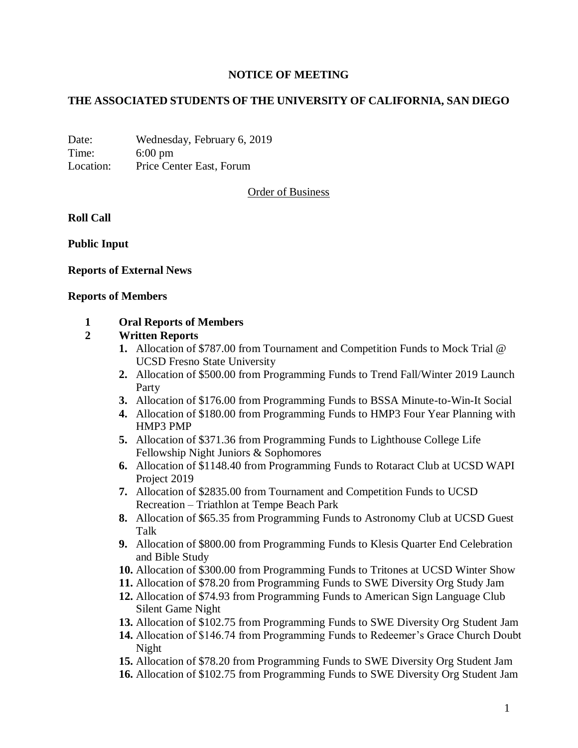# **NOTICE OF MEETING**

# **THE ASSOCIATED STUDENTS OF THE UNIVERSITY OF CALIFORNIA, SAN DIEGO**

Date: Wednesday, February 6, 2019 Time: 6:00 pm Location: Price Center East, Forum

Order of Business

**Roll Call**

**Public Input**

### **Reports of External News**

#### **Reports of Members**

### **1 Oral Reports of Members**

#### **2 Written Reports**

- **1.** Allocation of \$787.00 from Tournament and Competition Funds to Mock Trial @ UCSD Fresno State University
- **2.** Allocation of \$500.00 from Programming Funds to Trend Fall/Winter 2019 Launch Party
- **3.** Allocation of \$176.00 from Programming Funds to BSSA Minute-to-Win-It Social
- **4.** Allocation of \$180.00 from Programming Funds to HMP3 Four Year Planning with HMP3 PMP
- **5.** Allocation of \$371.36 from Programming Funds to Lighthouse College Life Fellowship Night Juniors & Sophomores
- **6.** Allocation of \$1148.40 from Programming Funds to Rotaract Club at UCSD WAPI Project 2019
- **7.** Allocation of \$2835.00 from Tournament and Competition Funds to UCSD Recreation – Triathlon at Tempe Beach Park
- **8.** Allocation of \$65.35 from Programming Funds to Astronomy Club at UCSD Guest Talk
- **9.** Allocation of \$800.00 from Programming Funds to Klesis Quarter End Celebration and Bible Study
- **10.** Allocation of \$300.00 from Programming Funds to Tritones at UCSD Winter Show
- **11.** Allocation of \$78.20 from Programming Funds to SWE Diversity Org Study Jam
- **12.** Allocation of \$74.93 from Programming Funds to American Sign Language Club Silent Game Night
- **13.** Allocation of \$102.75 from Programming Funds to SWE Diversity Org Student Jam
- **14.** Allocation of \$146.74 from Programming Funds to Redeemer's Grace Church Doubt Night
- **15.** Allocation of \$78.20 from Programming Funds to SWE Diversity Org Student Jam
- **16.** Allocation of \$102.75 from Programming Funds to SWE Diversity Org Student Jam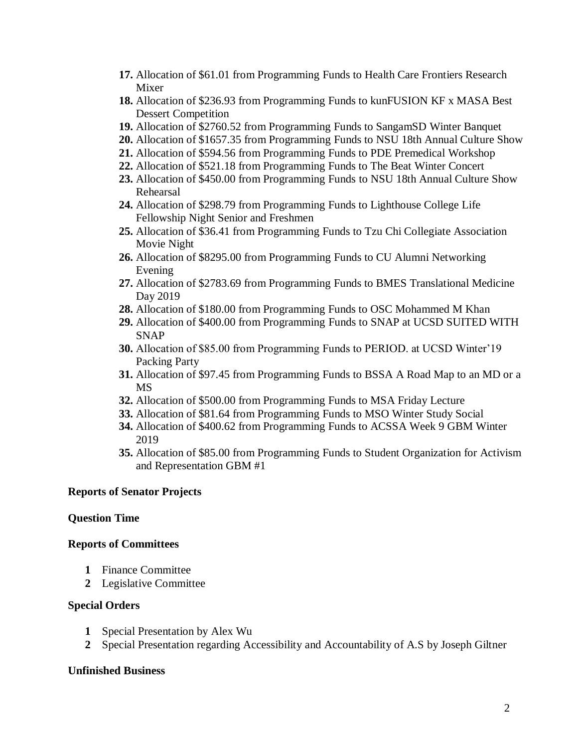- **17.** Allocation of \$61.01 from Programming Funds to Health Care Frontiers Research Mixer
- **18.** Allocation of \$236.93 from Programming Funds to kunFUSION KF x MASA Best Dessert Competition
- **19.** Allocation of \$2760.52 from Programming Funds to SangamSD Winter Banquet
- **20.** Allocation of \$1657.35 from Programming Funds to NSU 18th Annual Culture Show
- **21.** Allocation of \$594.56 from Programming Funds to PDE Premedical Workshop
- **22.** Allocation of \$521.18 from Programming Funds to The Beat Winter Concert
- **23.** Allocation of \$450.00 from Programming Funds to NSU 18th Annual Culture Show Rehearsal
- **24.** Allocation of \$298.79 from Programming Funds to Lighthouse College Life Fellowship Night Senior and Freshmen
- **25.** Allocation of \$36.41 from Programming Funds to Tzu Chi Collegiate Association Movie Night
- **26.** Allocation of \$8295.00 from Programming Funds to CU Alumni Networking Evening
- **27.** Allocation of \$2783.69 from Programming Funds to BMES Translational Medicine Day 2019
- **28.** Allocation of \$180.00 from Programming Funds to OSC Mohammed M Khan
- **29.** Allocation of \$400.00 from Programming Funds to SNAP at UCSD SUITED WITH **SNAP**
- **30.** Allocation of \$85.00 from Programming Funds to PERIOD. at UCSD Winter'19 Packing Party
- **31.** Allocation of \$97.45 from Programming Funds to BSSA A Road Map to an MD or a MS
- **32.** Allocation of \$500.00 from Programming Funds to MSA Friday Lecture
- **33.** Allocation of \$81.64 from Programming Funds to MSO Winter Study Social
- **34.** Allocation of \$400.62 from Programming Funds to ACSSA Week 9 GBM Winter 2019
- **35.** Allocation of \$85.00 from Programming Funds to Student Organization for Activism and Representation GBM #1

### **Reports of Senator Projects**

### **Question Time**

#### **Reports of Committees**

- **1** Finance Committee
- **2** Legislative Committee

### **Special Orders**

- **1** Special Presentation by Alex Wu
- **2** Special Presentation regarding Accessibility and Accountability of A.S by Joseph Giltner

#### **Unfinished Business**